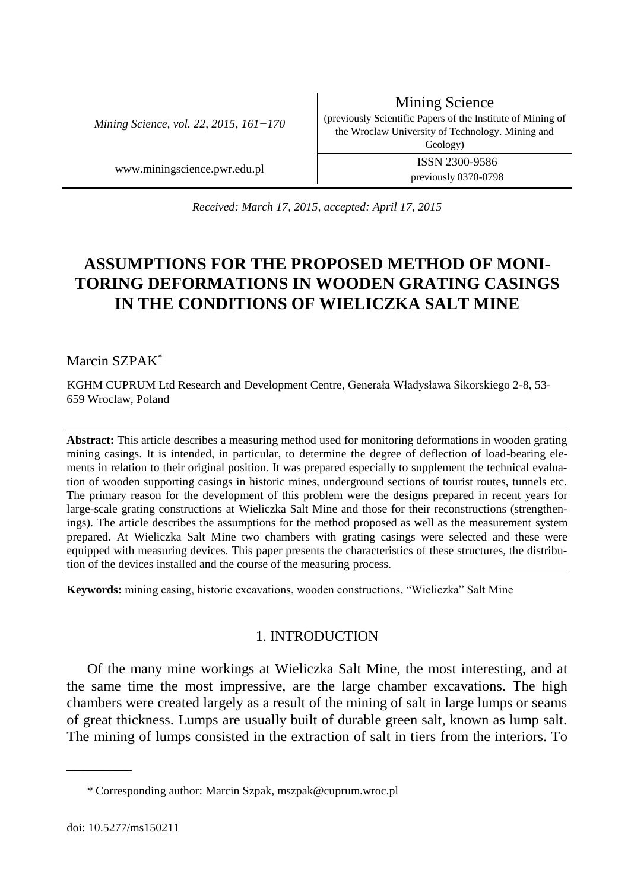*Mining Science, vol. 22, 2015, 161−170*

Mining Science (previously Scientific Papers of the Institute of Mining of the Wroclaw University of Technology. Mining and Geology) www.miningscience.pwr.edu.pl ISSN 2300-9586

previously 0370-0798

*Received: March 17, 2015, accepted: April 17, 2015*

# **ASSUMPTIONS FOR THE PROPOSED METHOD OF MONI-TORING DEFORMATIONS IN WOODEN GRATING CASINGS IN THE CONDITIONS OF WIELICZKA SALT MINE**

Marcin SZPAK\*

KGHM CUPRUM Ltd Research and Development Centre, Generała Władysława Sikorskiego 2-8, 53- 659 Wroclaw, Poland

**Abstract:** This article describes a measuring method used for monitoring deformations in wooden grating mining casings. It is intended, in particular, to determine the degree of deflection of load-bearing elements in relation to their original position. It was prepared especially to supplement the technical evaluation of wooden supporting casings in historic mines, underground sections of tourist routes, tunnels etc. The primary reason for the development of this problem were the designs prepared in recent years for large-scale grating constructions at Wieliczka Salt Mine and those for their reconstructions (strengthenings). The article describes the assumptions for the method proposed as well as the measurement system prepared. At Wieliczka Salt Mine two chambers with grating casings were selected and these were equipped with measuring devices. This paper presents the characteristics of these structures, the distribution of the devices installed and the course of the measuring process.

**Keywords:** mining casing, historic excavations, wooden constructions, "Wieliczka" Salt Mine

### 1. INTRODUCTION

Of the many mine workings at Wieliczka Salt Mine, the most interesting, and at the same time the most impressive, are the large chamber excavations. The high chambers were created largely as a result of the mining of salt in large lumps or seams of great thickness. Lumps are usually built of durable green salt, known as lump salt. The mining of lumps consisted in the extraction of salt in tiers from the interiors. To

\_\_\_\_\_\_\_\_\_

<sup>\*</sup> Corresponding author: Marcin Szpak, mszpak@cuprum.wroc.pl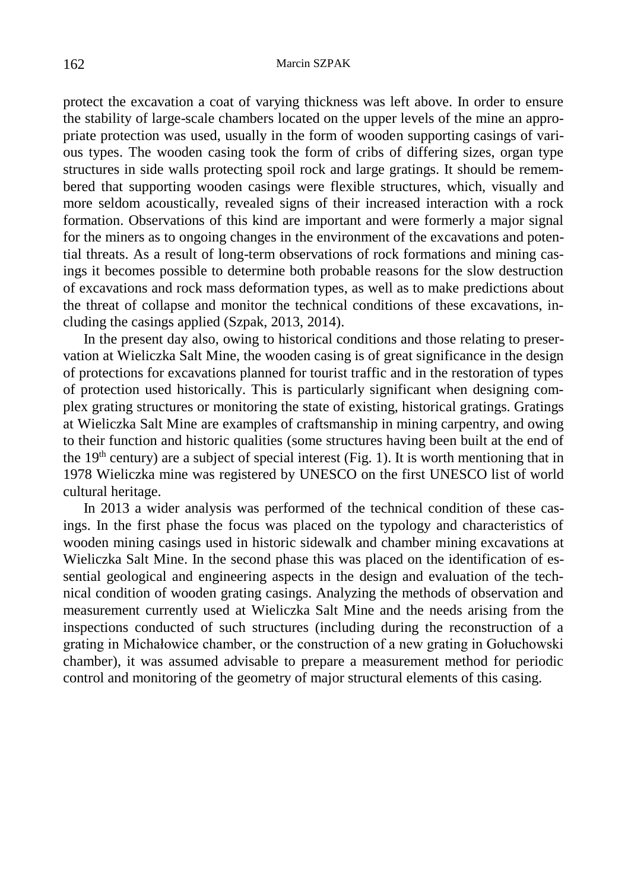protect the excavation a coat of varying thickness was left above. In order to ensure the stability of large-scale chambers located on the upper levels of the mine an appropriate protection was used, usually in the form of wooden supporting casings of various types. The wooden casing took the form of cribs of differing sizes, organ type structures in side walls protecting spoil rock and large gratings. It should be remembered that supporting wooden casings were flexible structures, which, visually and more seldom acoustically, revealed signs of their increased interaction with a rock formation. Observations of this kind are important and were formerly a major signal for the miners as to ongoing changes in the environment of the excavations and potential threats. As a result of long-term observations of rock formations and mining casings it becomes possible to determine both probable reasons for the slow destruction of excavations and rock mass deformation types, as well as to make predictions about the threat of collapse and monitor the technical conditions of these excavations, including the casings applied (Szpak, 2013, 2014).

In the present day also, owing to historical conditions and those relating to preservation at Wieliczka Salt Mine, the wooden casing is of great significance in the design of protections for excavations planned for tourist traffic and in the restoration of types of protection used historically. This is particularly significant when designing complex grating structures or monitoring the state of existing, historical gratings. Gratings at Wieliczka Salt Mine are examples of craftsmanship in mining carpentry, and owing to their function and historic qualities (some structures having been built at the end of the 19<sup>th</sup> century) are a subject of special interest (Fig. 1). It is worth mentioning that in 1978 Wieliczka mine was registered by UNESCO on the first UNESCO list of world cultural heritage.

In 2013 a wider analysis was performed of the technical condition of these casings. In the first phase the focus was placed on the typology and characteristics of wooden mining casings used in historic sidewalk and chamber mining excavations at Wieliczka Salt Mine. In the second phase this was placed on the identification of essential geological and engineering aspects in the design and evaluation of the technical condition of wooden grating casings. Analyzing the methods of observation and measurement currently used at Wieliczka Salt Mine and the needs arising from the inspections conducted of such structures (including during the reconstruction of a grating in Michałowice chamber, or the construction of a new grating in Gołuchowski chamber), it was assumed advisable to prepare a measurement method for periodic control and monitoring of the geometry of major structural elements of this casing.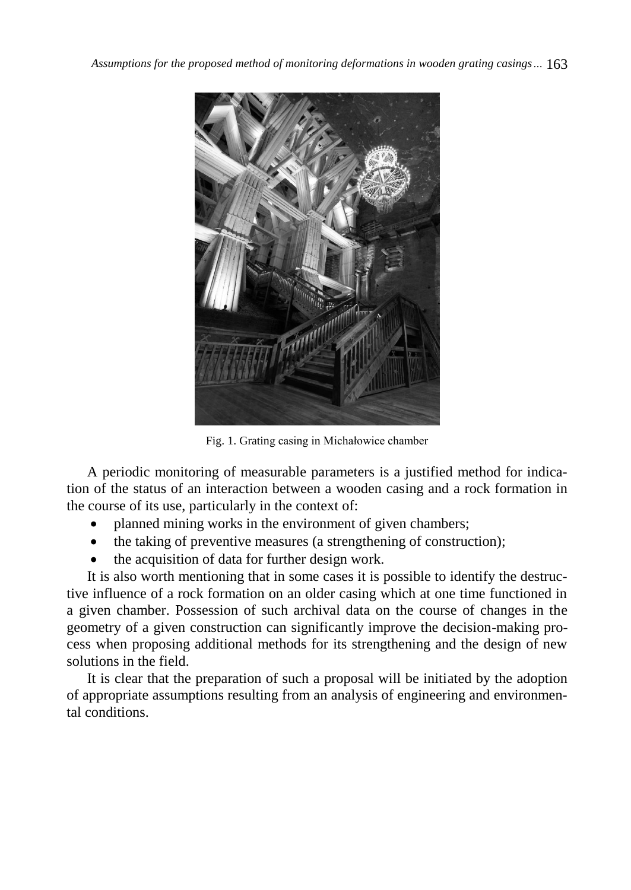

Fig. 1. Grating casing in Michałowice chamber

A periodic monitoring of measurable parameters is a justified method for indication of the status of an interaction between a wooden casing and a rock formation in the course of its use, particularly in the context of:

- planned mining works in the environment of given chambers;
- the taking of preventive measures (a strengthening of construction);
- the acquisition of data for further design work.

It is also worth mentioning that in some cases it is possible to identify the destructive influence of a rock formation on an older casing which at one time functioned in a given chamber. Possession of such archival data on the course of changes in the geometry of a given construction can significantly improve the decision-making process when proposing additional methods for its strengthening and the design of new solutions in the field.

It is clear that the preparation of such a proposal will be initiated by the adoption of appropriate assumptions resulting from an analysis of engineering and environmental conditions.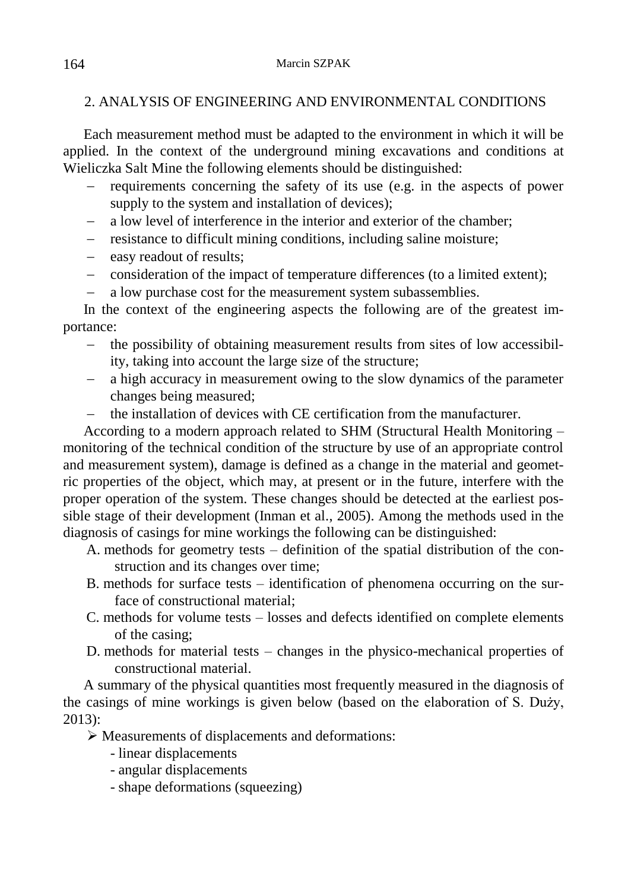## 2. ANALYSIS OF ENGINEERING AND ENVIRONMENTAL CONDITIONS

Each measurement method must be adapted to the environment in which it will be applied. In the context of the underground mining excavations and conditions at Wieliczka Salt Mine the following elements should be distinguished:

- requirements concerning the safety of its use (e.g. in the aspects of power supply to the system and installation of devices);
- a low level of interference in the interior and exterior of the chamber;
- resistance to difficult mining conditions, including saline moisture;
- easy readout of results;
- consideration of the impact of temperature differences (to a limited extent);
- a low purchase cost for the measurement system subassemblies.

In the context of the engineering aspects the following are of the greatest importance:

- the possibility of obtaining measurement results from sites of low accessibility, taking into account the large size of the structure;
- a high accuracy in measurement owing to the slow dynamics of the parameter changes being measured;
- the installation of devices with CE certification from the manufacturer.

According to a modern approach related to SHM (Structural Health Monitoring – monitoring of the technical condition of the structure by use of an appropriate control and measurement system), damage is defined as a change in the material and geometric properties of the object, which may, at present or in the future, interfere with the proper operation of the system. These changes should be detected at the earliest possible stage of their development (Inman et al., 2005). Among the methods used in the diagnosis of casings for mine workings the following can be distinguished:

- A. methods for geometry tests definition of the spatial distribution of the construction and its changes over time;
- B. methods for surface tests identification of phenomena occurring on the surface of constructional material;
- C. methods for volume tests losses and defects identified on complete elements of the casing;
- D. methods for material tests changes in the physico-mechanical properties of constructional material.

A summary of the physical quantities most frequently measured in the diagnosis of the casings of mine workings is given below (based on the elaboration of S. Duży, 2013):

Measurements of displacements and deformations:

- linear displacements
- angular displacements
- shape deformations (squeezing)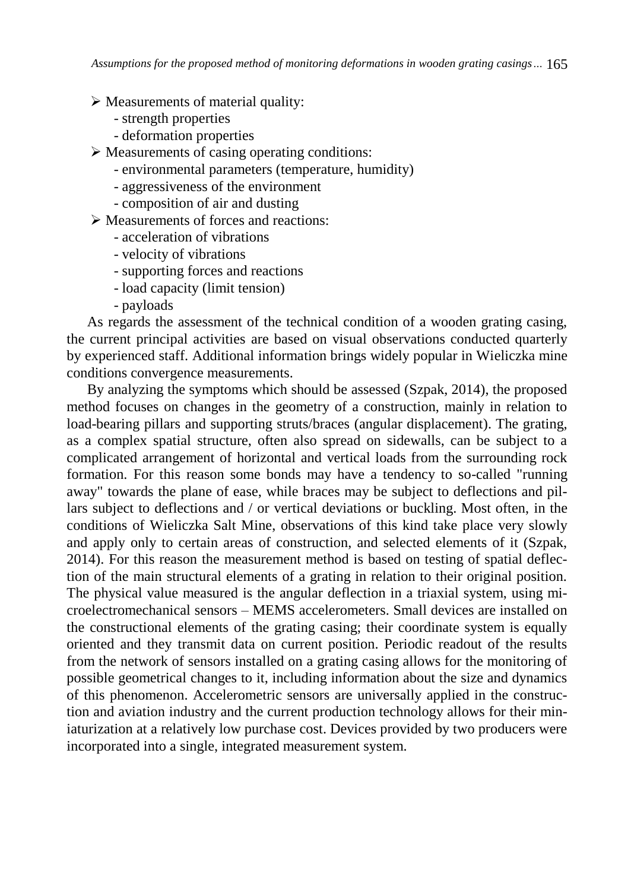*Assumptions for the proposed method of monitoring deformations in wooden grating casings…* 165

 $\triangleright$  Measurements of material quality:

- strength properties
- deformation properties
- $\triangleright$  Measurements of casing operating conditions:
	- environmental parameters (temperature, humidity)
	- aggressiveness of the environment
	- composition of air and dusting
- Measurements of forces and reactions:
	- acceleration of vibrations
	- velocity of vibrations
	- supporting forces and reactions
	- load capacity (limit tension)
	- payloads

As regards the assessment of the technical condition of a wooden grating casing, the current principal activities are based on visual observations conducted quarterly by experienced staff. Additional information brings widely popular in Wieliczka mine conditions convergence measurements.

By analyzing the symptoms which should be assessed (Szpak, 2014), the proposed method focuses on changes in the geometry of a construction, mainly in relation to load-bearing pillars and supporting struts/braces (angular displacement). The grating, as a complex spatial structure, often also spread on sidewalls, can be subject to a complicated arrangement of horizontal and vertical loads from the surrounding rock formation. For this reason some bonds may have a tendency to so-called "running away" towards the plane of ease, while braces may be subject to deflections and pillars subject to deflections and / or vertical deviations or buckling. Most often, in the conditions of Wieliczka Salt Mine, observations of this kind take place very slowly and apply only to certain areas of construction, and selected elements of it (Szpak, 2014). For this reason the measurement method is based on testing of spatial deflection of the main structural elements of a grating in relation to their original position. The physical value measured is the angular deflection in a triaxial system, using microelectromechanical sensors – MEMS accelerometers. Small devices are installed on the constructional elements of the grating casing; their coordinate system is equally oriented and they transmit data on current position. Periodic readout of the results from the network of sensors installed on a grating casing allows for the monitoring of possible geometrical changes to it, including information about the size and dynamics of this phenomenon. Accelerometric sensors are universally applied in the construction and aviation industry and the current production technology allows for their miniaturization at a relatively low purchase cost. Devices provided by two producers were incorporated into a single, integrated measurement system.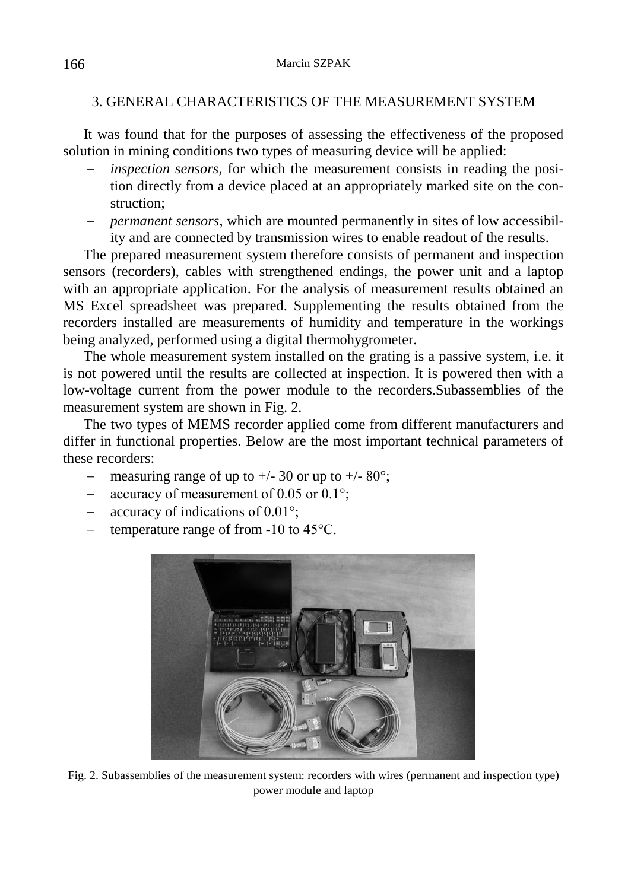### 3. GENERAL CHARACTERISTICS OF THE MEASUREMENT SYSTEM

It was found that for the purposes of assessing the effectiveness of the proposed solution in mining conditions two types of measuring device will be applied:

- *inspection sensors*, for which the measurement consists in reading the position directly from a device placed at an appropriately marked site on the construction;
- *permanent sensors*, which are mounted permanently in sites of low accessibility and are connected by transmission wires to enable readout of the results.

The prepared measurement system therefore consists of permanent and inspection sensors (recorders), cables with strengthened endings, the power unit and a laptop with an appropriate application. For the analysis of measurement results obtained an MS Excel spreadsheet was prepared. Supplementing the results obtained from the recorders installed are measurements of humidity and temperature in the workings being analyzed, performed using a digital thermohygrometer.

The whole measurement system installed on the grating is a passive system, i.e. it is not powered until the results are collected at inspection. It is powered then with a low-voltage current from the power module to the recorders.Subassemblies of the measurement system are shown in Fig. 2.

The two types of MEMS recorder applied come from different manufacturers and differ in functional properties. Below are the most important technical parameters of these recorders:

- measuring range of up to  $+/- 30$  or up to  $+/- 80^{\circ}$ ;
- accuracy of measurement of 0.05 or  $0.1^\circ$ ;
- accuracy of indications of  $0.01^{\circ}$ ;
- temperature range of from -10 to 45°C.



Fig. 2. Subassemblies of the measurement system: recorders with wires (permanent and inspection type) power module and laptop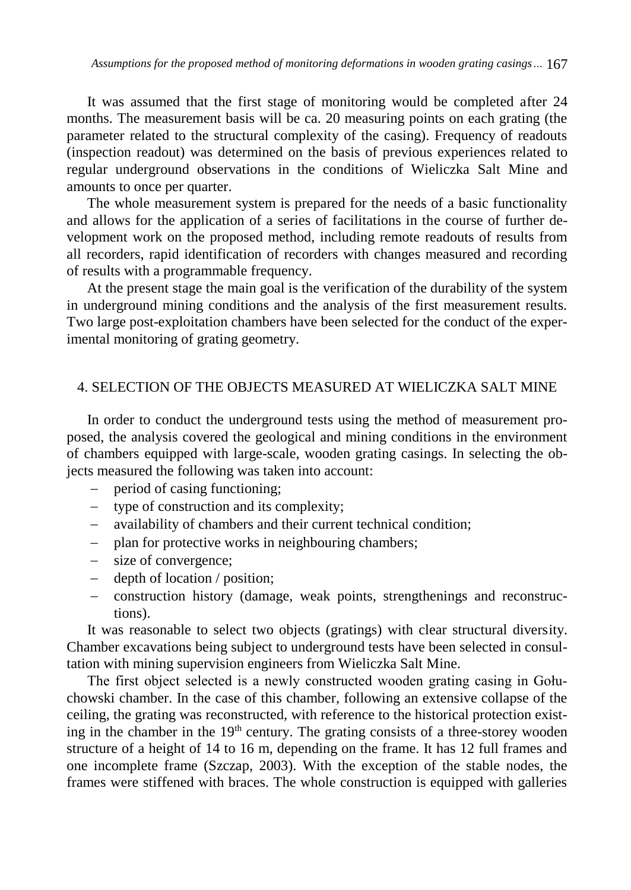It was assumed that the first stage of monitoring would be completed after 24 months. The measurement basis will be ca. 20 measuring points on each grating (the parameter related to the structural complexity of the casing). Frequency of readouts (inspection readout) was determined on the basis of previous experiences related to regular underground observations in the conditions of Wieliczka Salt Mine and amounts to once per quarter.

The whole measurement system is prepared for the needs of a basic functionality and allows for the application of a series of facilitations in the course of further development work on the proposed method, including remote readouts of results from all recorders, rapid identification of recorders with changes measured and recording of results with a programmable frequency.

At the present stage the main goal is the verification of the durability of the system in underground mining conditions and the analysis of the first measurement results. Two large post-exploitation chambers have been selected for the conduct of the experimental monitoring of grating geometry.

#### 4. SELECTION OF THE OBJECTS MEASURED AT WIELICZKA SALT MINE

In order to conduct the underground tests using the method of measurement proposed, the analysis covered the geological and mining conditions in the environment of chambers equipped with large-scale, wooden grating casings. In selecting the objects measured the following was taken into account:

- period of casing functioning;
- type of construction and its complexity;
- availability of chambers and their current technical condition;
- plan for protective works in neighbouring chambers;
- size of convergence;
- depth of location / position;
- construction history (damage, weak points, strengthenings and reconstructions).

It was reasonable to select two objects (gratings) with clear structural diversity. Chamber excavations being subject to underground tests have been selected in consultation with mining supervision engineers from Wieliczka Salt Mine.

The first object selected is a newly constructed wooden grating casing in Gołuchowski chamber. In the case of this chamber, following an extensive collapse of the ceiling, the grating was reconstructed, with reference to the historical protection existing in the chamber in the 19<sup>th</sup> century. The grating consists of a three-storey wooden structure of a height of 14 to 16 m, depending on the frame. It has 12 full frames and one incomplete frame (Szczap, 2003). With the exception of the stable nodes, the frames were stiffened with braces. The whole construction is equipped with galleries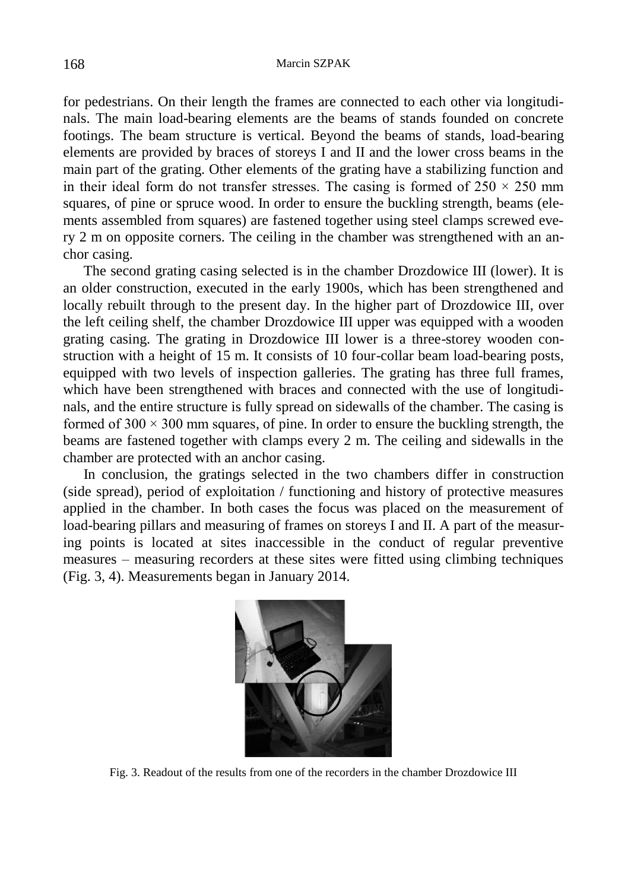for pedestrians. On their length the frames are connected to each other via longitudinals. The main load-bearing elements are the beams of stands founded on concrete footings. The beam structure is vertical. Beyond the beams of stands, load-bearing elements are provided by braces of storeys I and II and the lower cross beams in the main part of the grating. Other elements of the grating have a stabilizing function and in their ideal form do not transfer stresses. The casing is formed of  $250 \times 250$  mm squares, of pine or spruce wood. In order to ensure the buckling strength, beams (elements assembled from squares) are fastened together using steel clamps screwed every 2 m on opposite corners. The ceiling in the chamber was strengthened with an anchor casing.

The second grating casing selected is in the chamber Drozdowice III (lower). It is an older construction, executed in the early 1900s, which has been strengthened and locally rebuilt through to the present day. In the higher part of Drozdowice III, over the left ceiling shelf, the chamber Drozdowice III upper was equipped with a wooden grating casing. The grating in Drozdowice III lower is a three-storey wooden construction with a height of 15 m. It consists of 10 four-collar beam load-bearing posts, equipped with two levels of inspection galleries. The grating has three full frames, which have been strengthened with braces and connected with the use of longitudinals, and the entire structure is fully spread on sidewalls of the chamber. The casing is formed of  $300 \times 300$  mm squares, of pine. In order to ensure the buckling strength, the beams are fastened together with clamps every 2 m. The ceiling and sidewalls in the chamber are protected with an anchor casing.

In conclusion, the gratings selected in the two chambers differ in construction (side spread), period of exploitation / functioning and history of protective measures applied in the chamber. In both cases the focus was placed on the measurement of load-bearing pillars and measuring of frames on storeys I and II. A part of the measuring points is located at sites inaccessible in the conduct of regular preventive measures – measuring recorders at these sites were fitted using climbing techniques (Fig. 3, 4). Measurements began in January 2014.



Fig. 3. Readout of the results from one of the recorders in the chamber Drozdowice III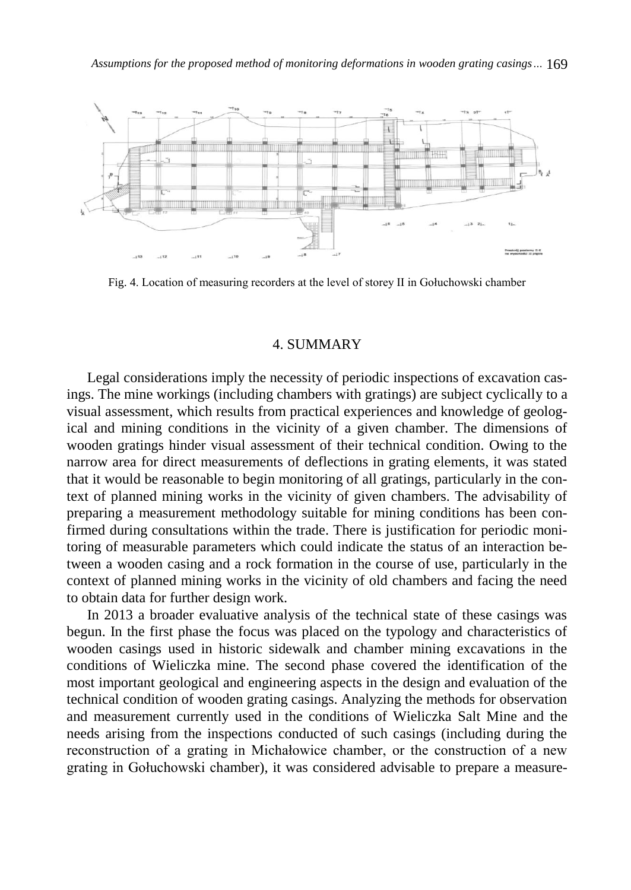*Assumptions for the proposed method of monitoring deformations in wooden grating casings…* 169



Fig. 4. Location of measuring recorders at the level of storey II in Gołuchowski chamber

#### 4. SUMMARY

Legal considerations imply the necessity of periodic inspections of excavation casings. The mine workings (including chambers with gratings) are subject cyclically to a visual assessment, which results from practical experiences and knowledge of geological and mining conditions in the vicinity of a given chamber. The dimensions of wooden gratings hinder visual assessment of their technical condition. Owing to the narrow area for direct measurements of deflections in grating elements, it was stated that it would be reasonable to begin monitoring of all gratings, particularly in the context of planned mining works in the vicinity of given chambers. The advisability of preparing a measurement methodology suitable for mining conditions has been confirmed during consultations within the trade. There is justification for periodic monitoring of measurable parameters which could indicate the status of an interaction between a wooden casing and a rock formation in the course of use, particularly in the context of planned mining works in the vicinity of old chambers and facing the need to obtain data for further design work.

In 2013 a broader evaluative analysis of the technical state of these casings was begun. In the first phase the focus was placed on the typology and characteristics of wooden casings used in historic sidewalk and chamber mining excavations in the conditions of Wieliczka mine. The second phase covered the identification of the most important geological and engineering aspects in the design and evaluation of the technical condition of wooden grating casings. Analyzing the methods for observation and measurement currently used in the conditions of Wieliczka Salt Mine and the needs arising from the inspections conducted of such casings (including during the reconstruction of a grating in Michałowice chamber, or the construction of a new grating in Gołuchowski chamber), it was considered advisable to prepare a measure